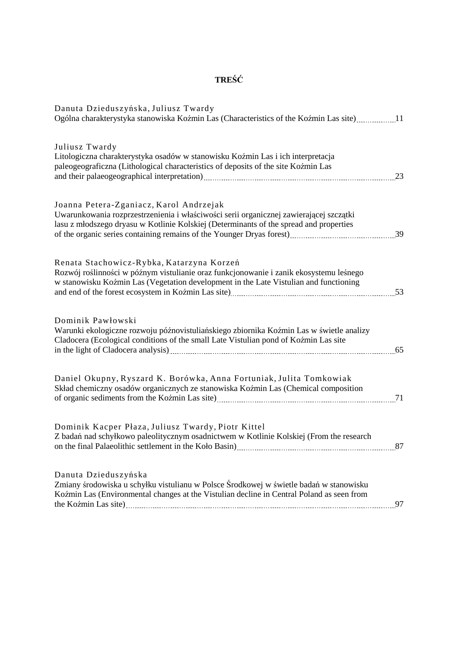# **TREŚĆ**

| Danuta Dzieduszyńska, Juliusz Twardy<br>Ogólna charakterystyka stanowiska Koźmin Las (Characteristics of the Koźmin Las site)11                                                                                                                                                                                                                        |    |
|--------------------------------------------------------------------------------------------------------------------------------------------------------------------------------------------------------------------------------------------------------------------------------------------------------------------------------------------------------|----|
| Juliusz Twardy<br>Litologiczna charakterystyka osadów w stanowisku Koźmin Las i ich interpretacja<br>paleogeograficzna (Lithological characteristics of deposits of the site Koźmin Las                                                                                                                                                                | 23 |
| Joanna Petera-Zganiacz, Karol Andrzejak<br>Uwarunkowania rozprzestrzenienia i właściwości serii organicznej zawierającej szczątki<br>lasu z młodszego dryasu w Kotlinie Kolskiej (Determinants of the spread and properties                                                                                                                            |    |
| Renata Stachowicz-Rybka, Katarzyna Korzeń<br>Rozwój roślinności w późnym vistulianie oraz funkcjonowanie i zanik ekosystemu leśnego<br>w stanowisku Koźmin Las (Vegetation development in the Late Vistulian and functioning<br>and end of the forest ecosystem in Koźmin Las site)<br>153                                                             |    |
| Dominik Pawłowski<br>Warunki ekologiczne rozwoju późnovistuliańskiego zbiornika Koźmin Las w świetle analizy<br>Cladocera (Ecological conditions of the small Late Vistulian pond of Koźmin Las site<br>in the light of Cladocera analysis) [65] [65] The Review of Cladocera analysis and the light of Cladocera analysis and the summary set of $65$ |    |
| Daniel Okupny, Ryszard K. Borówka, Anna Fortuniak, Julita Tomkowiak<br>Skład chemiczny osadów organicznych ze stanowiska Koźmin Las (Chemical composition                                                                                                                                                                                              | 71 |
| Dominik Kacper Płaza, Juliusz Twardy, Piotr Kittel<br>Z badań nad schyłkowo paleolitycznym osadnictwem w Kotlinie Kolskiej (From the research<br>on the final Palaeolithic settlement in the Koło Basin)                                                                                                                                               | 87 |
| Danuta Dzieduszyńska<br>Zmiany środowiska u schyłku vistulianu w Polsce Środkowej w świetle badań w stanowisku<br>Koźmin Las (Environmental changes at the Vistulian decline in Central Poland as seen from                                                                                                                                            | 97 |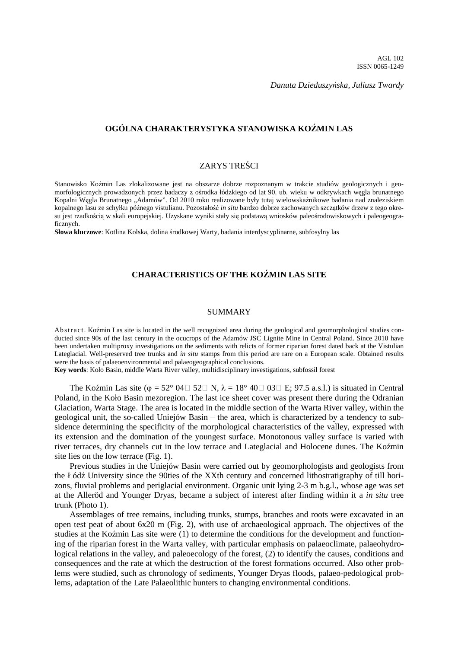*Danuta Dzieduszyńska, Juliusz Twardy* 

## **OGÓLNA CHARAKTERYSTYKA STANOWISKA KOŹMIN LAS**

## ZARYS TREŚCI

Stanowisko Koźmin Las zlokalizowane jest na obszarze dobrze rozpoznanym w trakcie studiów geologicznych i geomorfologicznych prowadzonych przez badaczy z ośrodka łódzkiego od lat 90. ub. wieku w odkrywkach węgla brunatnego Kopalni Węgla Brunatnego "Adamów". Od 2010 roku realizowane były tutaj wielowskaźnikowe badania nad znaleziskiem kopalnego lasu ze schyłku późnego vistulianu. Pozostałość *in situ* bardzo dobrze zachowanych szczątków drzew z tego okresu jest rzadkością w skali europejskiej. Uzyskane wyniki stały się podstawą wniosków paleośrodowiskowych i paleogeograficznych.

**Słowa kluczowe**: Kotlina Kolska, dolina środkowej Warty, badania interdyscyplinarne, subfosylny las

## **CHARACTERISTICS OF THE KOŹMIN LAS SITE**

#### SUMMARY

Ab stract. Koźmin Las site is located in the well recognized area during the geological and geomorphological studies conducted since 90s of the last century in the ocucrops of the Adamów JSC Lignite Mine in Central Poland. Since 2010 have been undertaken multiproxy investigations on the sediments with relicts of former riparian forest dated back at the Vistulian Lateglacial. Well-preserved tree trunks and *in situ* stamps from this period are rare on a European scale. Obtained results were the basis of palaeoenvironmental and palaeogeographical conclusions.

**Key words**: Koło Basin, middle Warta River valley, multidisciplinary investigations, subfossil forest

The Koźmin Las site ( $\varphi = 52^{\circ}$  04 $\Box$  52 $\Box$  N,  $\lambda = 18^{\circ}$  40 $\Box$  03 $\Box$  E; 97.5 a.s.l.) is situated in Central Poland, in the Koło Basin mezoregion. The last ice sheet cover was present there during the Odranian Glaciation, Warta Stage. The area is located in the middle section of the Warta River valley, within the geological unit, the so-called Uniejów Basin – the area, which is characterized by a tendency to subsidence determining the specificity of the morphological characteristics of the valley, expressed with its extension and the domination of the youngest surface. Monotonous valley surface is varied with river terraces, dry channels cut in the low terrace and Lateglacial and Holocene dunes. The Koźmin site lies on the low terrace (Fig. 1).

Previous studies in the Uniejów Basin were carried out by geomorphologists and geologists from the Łódź University since the 90ties of the XXth century and concerned lithostratigraphy of till horizons, fluvial problems and periglacial environment. Organic unit lying 2-3 m b.g.l., whose age was set at the Alleröd and Younger Dryas, became a subject of interest after finding within it a *in situ* tree trunk (Photo 1).

Assemblages of tree remains, including trunks, stumps, branches and roots were excavated in an open test peat of about 6x20 m (Fig. 2), with use of archaeological approach. The objectives of the studies at the Koźmin Las site were (1) to determine the conditions for the development and functioning of the riparian forest in the Warta valley, with particular emphasis on palaeoclimate, palaeohydrological relations in the valley, and paleoecology of the forest, (2) to identify the causes, conditions and consequences and the rate at which the destruction of the forest formations occurred. Also other problems were studied, such as chronology of sediments, Younger Dryas floods, palaeo-pedological problems, adaptation of the Late Palaeolithic hunters to changing environmental conditions.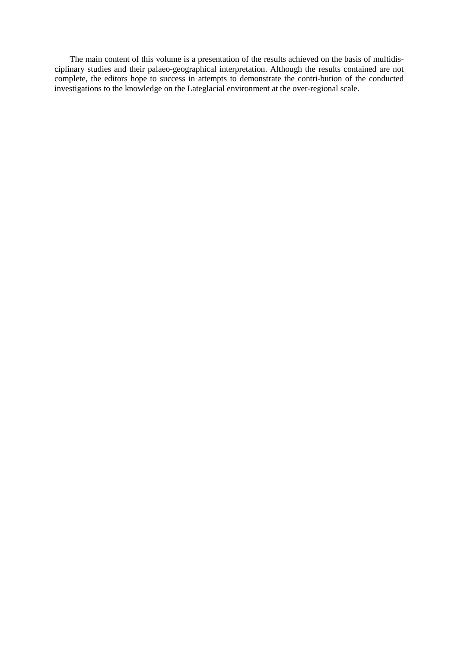The main content of this volume is a presentation of the results achieved on the basis of multidisciplinary studies and their palaeo-geographical interpretation. Although the results contained are not complete, the editors hope to success in attempts to demonstrate the contri-bution of the conducted investigations to the knowledge on the Lateglacial environment at the over-regional scale.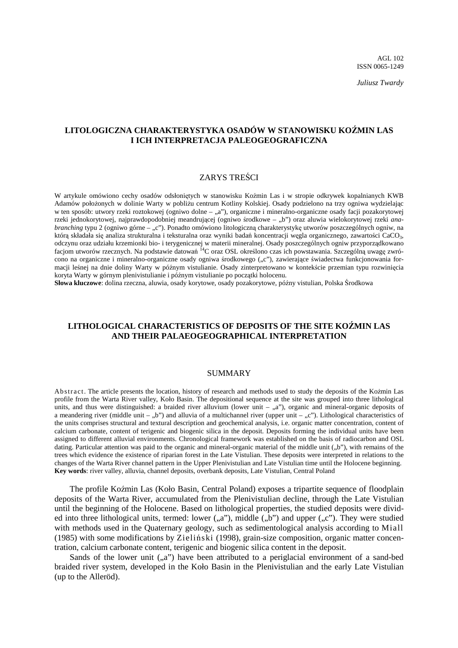*Juliusz Twardy* 

## **LITOLOGICZNA CHARAKTERYSTYKA OSADÓW W STANOWISKU KOŹMIN LAS I ICH INTERPRETACJA PALEOGEOGRAFICZNA**

## ZARYS TREŚCI

W artykule omówiono cechy osadów odsłoniętych w stanowisku Koźmin Las i w stropie odkrywek kopalnianych KWB Adamów położonych w dolinie Warty w pobliżu centrum Kotliny Kolskiej. Osady podzielono na trzy ogniwa wydzielając w ten sposób: utwory rzeki roztokowej (ogniwo dolne – "a"), organiczne i mineralno-organiczne osady facji pozakorytowej rzeki jednokorytowej, najprawdopodobniej meandrującej (ogniwo środkowe - "b") oraz aluwia wielokorytowej rzeki *anabranching* typu 2 (ogniwo górne – "c"). Ponadto omówiono litologiczną charakterystykę utworów poszczególnych ogniw, na którą składała się analiza strukturalna i teksturalna oraz wyniki badań koncentracji węgla organicznego, zawartości CaCO<sub>3</sub>, odczynu oraz udziału krzemionki bio- i terygenicznej w materii mineralnej. Osady poszczególnych ogniw przyporządkowano facjom utworów rzecznych. Na podstawie datowań <sup>14</sup>C oraz OSL określono czas ich powstawania. Szczególną uwagę zwrócono na organiczne i mineralno-organiczne osady ogniwa środkowego ("c"), zawierające świadectwa funkcjonowania formacji leśnej na dnie doliny Warty w późnym vistulianie. Osady zinterpretowano w kontekście przemian typu rozwinięcia koryta Warty w górnym plenivistulianie i późnym vistulianie po początki holocenu.

**Słowa kluczowe**: dolina rzeczna, aluwia, osady korytowe, osady pozakorytowe, późny vistulian, Polska Środkowa

## **LITHOLOGICAL CHARACTERISTICS OF DEPOSITS OF THE SITE KOŹMIN LAS AND THEIR PALAEOGEOGRAPHICAL INTERPRETATION**

#### SUMMARY

Ab stract. The article presents the location, history of research and methods used to study the deposits of the Kożmin Las profile from the Warta River valley, Koło Basin. The depositional sequence at the site was grouped into three lithological units, and thus were distinguished: a braided river alluvium (lower unit  $, a$ "), organic and mineral-organic deposits of a meandering river (middle unit – "b") and alluvia of a multichannel river (upper unit – "c"). Lithological characteristics of the units comprises structural and textural description and geochemical analysis, i.e. organic matter concentration, content of calcium carbonate, content of terigenic and biogenic silica in the deposit. Deposits forming the individual units have been assigned to different alluvial environments. Chronological framework was established on the basis of radiocarbon and OSL dating. Particular attention was paid to the organic and mineral-organic material of the middle unit  $($ "b"), with remains of the trees which evidence the existence of riparian forest in the Late Vistulian. These deposits were interpreted in relations to the changes of the Warta River channel pattern in the Upper Plenivistulian and Late Vistulian time until the Holocene beginning. **Key words**: river valley, alluvia, channel deposits, overbank deposits, Late Vistulian, Central Poland

The profile Koźmin Las (Koło Basin, Central Poland) exposes a tripartite sequence of floodplain deposits of the Warta River, accumulated from the Plenivistulian decline, through the Late Vistulian until the beginning of the Holocene. Based on lithological properties, the studied deposits were divided into three lithological units, termed: lower  $(.,a'')$ , middle  $(.,b'')$  and upper  $(.,c'')$ . They were studied with methods used in the Quaternary geology, such as sedimentological analysis according to Miall (1985) with some modifications by Zieliński (1998), grain-size composition, organic matter concentration, calcium carbonate content, terigenic and biogenic silica content in the deposit.

Sands of the lower unit  $($ "a") have been attributed to a periglacial environment of a sand-bed braided river system, developed in the Koło Basin in the Plenivistulian and the early Late Vistulian (up to the Alleröd).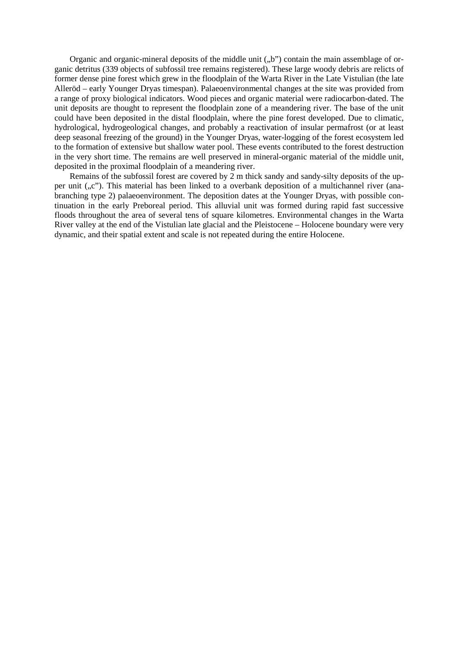Organic and organic-mineral deposits of the middle unit  $($ "b") contain the main assemblage of organic detritus (339 objects of subfossil tree remains registered). These large woody debris are relicts of former dense pine forest which grew in the floodplain of the Warta River in the Late Vistulian (the late Alleröd – early Younger Dryas timespan). Palaeoenvironmental changes at the site was provided from a range of proxy biological indicators. Wood pieces and organic material were radiocarbon-dated. The unit deposits are thought to represent the floodplain zone of a meandering river. The base of the unit could have been deposited in the distal floodplain, where the pine forest developed. Due to climatic, hydrological, hydrogeological changes, and probably a reactivation of insular permafrost (or at least deep seasonal freezing of the ground) in the Younger Dryas, water-logging of the forest ecosystem led to the formation of extensive but shallow water pool. These events contributed to the forest destruction in the very short time. The remains are well preserved in mineral-organic material of the middle unit, deposited in the proximal floodplain of a meandering river.

Remains of the subfossil forest are covered by 2 m thick sandy and sandy-silty deposits of the upper unit  $(x, c)$ . This material has been linked to a overbank deposition of a multichannel river (anabranching type 2) palaeoenvironment. The deposition dates at the Younger Dryas, with possible continuation in the early Preboreal period. This alluvial unit was formed during rapid fast successive floods throughout the area of several tens of square kilometres. Environmental changes in the Warta River valley at the end of the Vistulian late glacial and the Pleistocene – Holocene boundary were very dynamic, and their spatial extent and scale is not repeated during the entire Holocene.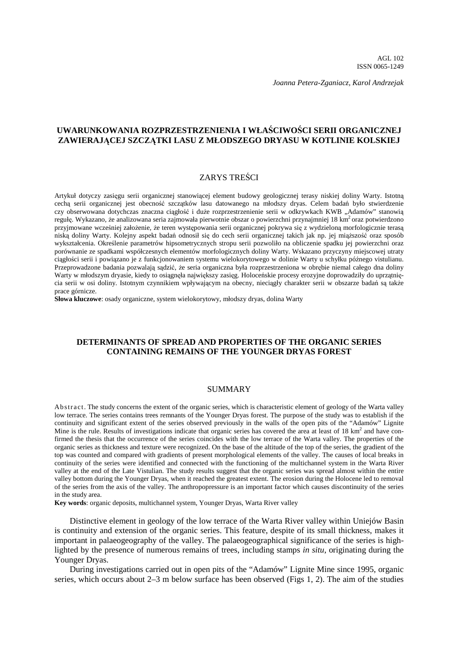*Joanna Petera-Zganiacz, Karol Andrzejak* 

## **UWARUNKOWANIA ROZPRZESTRZENIENIA I WŁAŚCIWOŚCI SERII ORGANICZNEJ ZAWIERAJĄCEJ SZCZĄTKI LASU Z MŁODSZEGO DRYASU W KOTLINIE KOLSKIEJ**

## ZARYS TREŚCI

Artykuł dotyczy zasięgu serii organicznej stanowiącej element budowy geologicznej terasy niskiej doliny Warty. Istotną cechą serii organicznej jest obecność szczątków lasu datowanego na młodszy dryas. Celem badań było stwierdzenie czy obserwowana dotychczas znaczna ciągłość i duże rozprzestrzenienie serii w odkrywkach KWB "Adamów" stanowią regułę. Wykazano, że analizowana seria zajmowała pierwotnie obszar o powierzchni przynajmniej 18 km<sup>2</sup> oraz potwierdzono przyjmowane wcześniej założenie, że teren występowania serii organicznej pokrywa się z wydzieloną morfologicznie terasą niską doliny Warty. Kolejny aspekt badań odnosił się do cech serii organicznej takich jak np. jej miąższość oraz sposób wykształcenia. Określenie parametrów hipsometrycznych stropu serii pozwoliło na obliczenie spadku jej powierzchni oraz porównanie ze spadkami współczesnych elementów morfologicznych doliny Warty. Wskazano przyczyny miejscowej utraty ciągłości serii i powiązano je z funkcjonowaniem systemu wielokorytowego w dolinie Warty u schyłku późnego vistulianu. Przeprowadzone badania pozwalają sądzić, że seria organiczna była rozprzestrzeniona w obrębie niemal całego dna doliny Warty w młodszym dryasie, kiedy to osiągnęła największy zasięg. Holoceńskie procesy erozyjne doprowadziły do uprzątnięcia serii w osi doliny. Istotnym czynnikiem wpływającym na obecny, nieciągły charakter serii w obszarze badań są także prace górnicze.

**Słowa kluczowe**: osady organiczne, system wielokorytowy, młodszy dryas, dolina Warty

## **DETERMINANTS OF SPREAD AND PROPERTIES OF THE ORGANIC SERIES CONTAINING REMAINS OF THE YOUNGER DRYAS FOREST**

#### SUMMARY

Ab stract. The study concerns the extent of the organic series, which is characteristic element of geology of the Warta valley low terrace. The series contains trees remnants of the Younger Dryas forest. The purpose of the study was to establish if the continuity and significant extent of the series observed previously in the walls of the open pits of the "Adamów" Lignite Mine is the rule. Results of investigations indicate that organic series has covered the area at least of  $18 \text{ km}^2$  and have confirmed the thesis that the occurrence of the series coincides with the low terrace of the Warta valley. The properties of the organic series as thickness and texture were recognized. On the base of the altitude of the top of the series, the gradient of the top was counted and compared with gradients of present morphological elements of the valley. The causes of local breaks in continuity of the series were identified and connected with the functioning of the multichannel system in the Warta River valley at the end of the Late Vistulian. The study results suggest that the organic series was spread almost within the entire valley bottom during the Younger Dryas, when it reached the greatest extent. The erosion during the Holocene led to removal of the series from the axis of the valley. The anthropopressure is an important factor which causes discontinuity of the series in the study area.

**Key words**: organic deposits, multichannel system, Younger Dryas, Warta River valley

Distinctive element in geology of the low terrace of the Warta River valley within Uniejów Basin is continuity and extension of the organic series. This feature, despite of its small thickness, makes it important in palaeogeography of the valley. The palaeogeographical significance of the series is highlighted by the presence of numerous remains of trees, including stamps *in situ*, originating during the Younger Dryas.

During investigations carried out in open pits of the "Adamów" Lignite Mine since 1995, organic series, which occurs about 2–3 m below surface has been observed (Figs 1, 2). The aim of the studies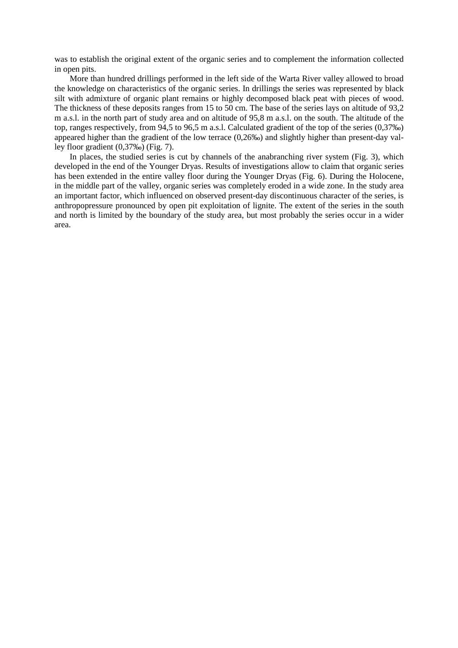was to establish the original extent of the organic series and to complement the information collected in open pits.

More than hundred drillings performed in the left side of the Warta River valley allowed to broad the knowledge on characteristics of the organic series. In drillings the series was represented by black silt with admixture of organic plant remains or highly decomposed black peat with pieces of wood. The thickness of these deposits ranges from 15 to 50 cm. The base of the series lays on altitude of 93,2 m a.s.l. in the north part of study area and on altitude of 95,8 m a.s.l. on the south. The altitude of the top, ranges respectively, from 94,5 to 96,5 m a.s.l. Calculated gradient of the top of the series (0,37‰) appeared higher than the gradient of the low terrace (0,26‰) and slightly higher than present-day valley floor gradient (0,37‰) (Fig. 7).

In places, the studied series is cut by channels of the anabranching river system (Fig. 3), which developed in the end of the Younger Dryas. Results of investigations allow to claim that organic series has been extended in the entire valley floor during the Younger Dryas (Fig. 6). During the Holocene, in the middle part of the valley, organic series was completely eroded in a wide zone. In the study area an important factor, which influenced on observed present-day discontinuous character of the series, is anthropopressure pronounced by open pit exploitation of lignite. The extent of the series in the south and north is limited by the boundary of the study area, but most probably the series occur in a wider area.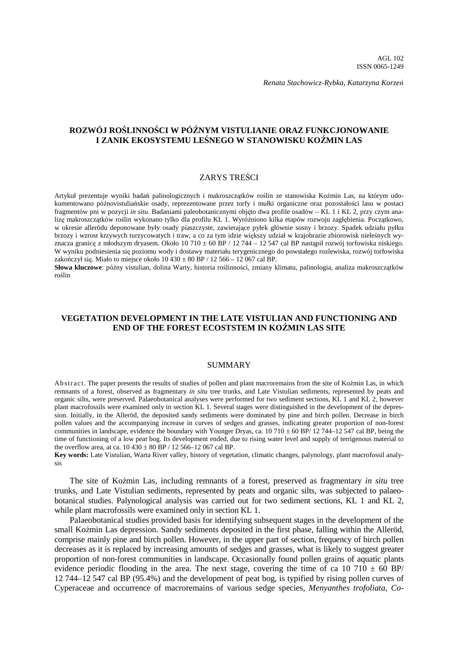*Renata Stachowicz-Rybka, Katarzyna Korzeń*

## **ROZWÓJ ROŚLINNOŚCI W PÓŹNYM VISTULIANIE ORAZ FUNKCJONOWANIE I ZANIK EKOSYSTEMU LEŚNEGO W STANOWISKU KOŹMIN LAS**

## ZARYS TREŚCI

Artykuł prezentuje wyniki badań palinologicznych i makroszczątków roślin ze stanowiska Koźmin Las, na którym udokumentowano późnovistuliańskie osady, reprezentowane przez torfy i mułki organiczne oraz pozostałości lasu w postaci fragmentów pni w pozycji *in situ*. Badaniami paleobotanicznymi objęto dwa profile osadów – KL 1 i KL 2, przy czym analizę makroszczątków roślin wykonano tylko dla profilu KL 1. Wyróżniono kilka etapów rozwoju zagłębienia. Początkowo, w okresie allerödu deponowane były osady piaszczyste, zawierające pyłek głównie sosny i brzozy. Spadek udziału pyłku brzozy i wzrost krzywych turzycowatych i traw, a co za tym idzie większy udział w krajobrazie zbiorowisk nieleśnych wyznacza granicę z młodszym dryasem. Około 10 710 ± 60 BP / 12 744 – 12 547 cal BP nastąpił rozwój torfowiska niskiego. W wyniku podniesienia się poziomu wody i dostawy materiału terygenicznego do powstałego rozlewiska, rozwój torfowiska zakończył się. Miało to miejsce około  $10\,430 \pm 80$  BP / 12 566 – 12 067 cal BP.

**Słowa kluczowe**: późny vistulian, dolina Warty, historia roślinności, zmiany klimatu, palinologia, analiza makroszczątków roślin

## **VEGETATION DEVELOPMENT IN THE LATE VISTULIAN AND FUNCTIONING AND END OF THE FOREST ECOSTSTEM IN KOŹMIN LAS SITE**

#### SUMMARY

Ab stract. The paper presents the results of studies of pollen and plant macroremains from the site of Koźmin Las, in which remnants of a forest, observed as fragmentary *in situ* tree trunks, and Late Vistulian sediments, represented by peats and organic silts, were preserved. Palaeobotanical analyses were performed for two sediment sections, KL 1 and KL 2, however plant macrofossils were examined only in section KL 1. Several stages were distinguished in the development of the depression. Initially, in the Alleröd, the deposited sandy sediments were dominated by pine and birch pollen. Decrease in birch pollen values and the accompanying increase in curves of sedges and grasses, indicating greater proportion of non-forest communities in landscape, evidence the boundary with Younger Dryas, ca. 10 710  $\pm$  60 BP/ 12 744–12 547 cal BP, being the time of functioning of a low peat bog. Its development ended, due to rising water level and supply of terrigenous material to the overflow area, at ca.  $10\,430 \pm 80$  BP / 12 566–12 067 cal BP.

**Key words:** Late Vistulian, Warta River valley, history of vegetation, climatic changes, palynology, plant macrofossil analysis

The site of Koźmin Las, including remnants of a forest, preserved as fragmentary *in situ* tree trunks, and Late Vistulian sediments, represented by peats and organic silts, was subjected to palaeobotanical studies. Palynological analysis was carried out for two sediment sections, KL 1 and KL 2, while plant macrofossils were examined only in section KL 1.

Palaeobotanical studies provided basis for identifying subsequent stages in the development of the small Koźmin Las depression. Sandy sediments deposited in the first phase, falling within the Alleröd, comprise mainly pine and birch pollen. However, in the upper part of section, frequency of birch pollen decreases as it is replaced by increasing amounts of sedges and grasses, what is likely to suggest greater proportion of non-forest communities in landscape. Occasionally found pollen grains of aquatic plants evidence periodic flooding in the area. The next stage, covering the time of ca 10 710  $\pm$  60 BP/ 12 744–12 547 cal BP (95.4%) and the development of peat bog, is typified by rising pollen curves of Cyperaceae and occurrence of macroremains of various sedge species, *Menyanthes trofoliata*, *Co-*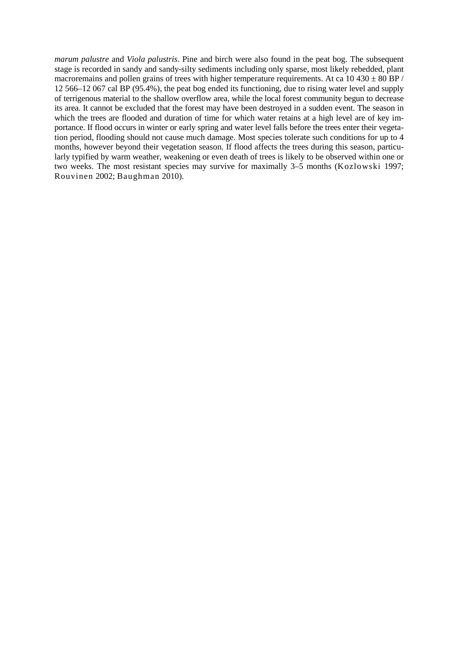*marum palustre* and *Viola palustris*. Pine and birch were also found in the peat bog. The subsequent stage is recorded in sandy and sandy-silty sediments including only sparse, most likely rebedded, plant macroremains and pollen grains of trees with higher temperature requirements. At ca  $10\,430 \pm 80$  BP / 12 566–12 067 cal BP (95.4%), the peat bog ended its functioning, due to rising water level and supply of terrigenous material to the shallow overflow area, while the local forest community begun to decrease its area. It cannot be excluded that the forest may have been destroyed in a sudden event. The season in which the trees are flooded and duration of time for which water retains at a high level are of key importance. If flood occurs in winter or early spring and water level falls before the trees enter their vegetation period, flooding should not cause much damage. Most species tolerate such conditions for up to 4 months, however beyond their vegetation season. If flood affects the trees during this season, particularly typified by warm weather, weakening or even death of trees is likely to be observed within one or two weeks. The most resistant species may survive for maximally 3–5 months (Kozlowski 1997; Rouvinen 2002; Baughman 2010).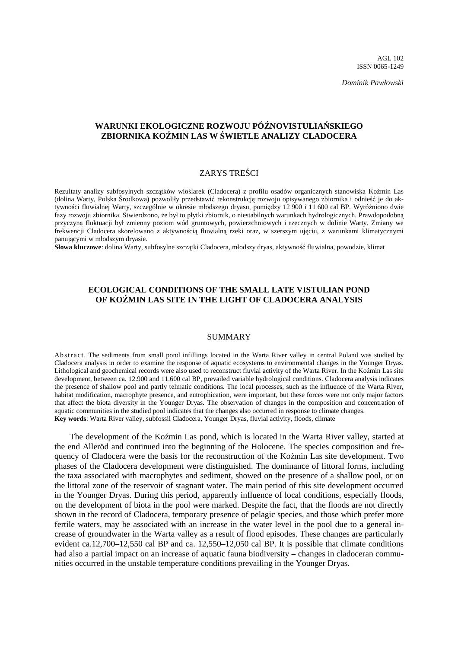*Dominik Pawłowski*

## **WARUNKI EKOLOGICZNE ROZWOJU PÓŹNOVISTULIAŃSKIEGO ZBIORNIKA KOŹMIN LAS W ŚWIETLE ANALIZY CLADOCERA**

### ZARYS TREŚCI

Rezultaty analizy subfosylnych szczątków wioślarek (Cladocera) z profilu osadów organicznych stanowiska Koźmin Las (dolina Warty, Polska Środkowa) pozwoliły przedstawić rekonstrukcję rozwoju opisywanego zbiornika i odnieść je do aktywności fluwialnej Warty, szczególnie w okresie młodszego dryasu, pomiędzy 12 900 i 11 600 cal BP. Wyróżniono dwie fazy rozwoju zbiornika. Stwierdzono, że był to płytki zbiornik, o niestabilnych warunkach hydrologicznych. Prawdopodobną przyczyną fluktuacji był zmienny poziom wód gruntowych, powierzchniowych i rzecznych w dolinie Warty. Zmiany we frekwencji Cladocera skorelowano z aktywnością fluwialną rzeki oraz, w szerszym ujęciu, z warunkami klimatycznymi panującymi w młodszym dryasie.

**Słowa kluczowe**: dolina Warty, subfosylne szczątki Cladocera, młodszy dryas, aktywność fluwialna, powodzie, klimat

## **ECOLOGICAL CONDITIONS OF THE SMALL LATE VISTULIAN POND OF KOŹMIN LAS SITE IN THE LIGHT OF CLADOCERA ANALYSIS**

#### SUMMARY

Ab stract. The sediments from small pond infillings located in the Warta River valley in central Poland was studied by Cladocera analysis in order to examine the response of aquatic ecosystems to environmental changes in the Younger Dryas. Lithological and geochemical records were also used to reconstruct fluvial activity of the Warta River. In the Koźmin Las site development, between ca. 12.900 and 11.600 cal BP, prevailed variable hydrological conditions. Cladocera analysis indicates the presence of shallow pool and partly telmatic conditions. The local processes, such as the influence of the Warta River, habitat modification, macrophyte presence, and eutrophication, were important, but these forces were not only major factors that affect the biota diversity in the Younger Dryas. The observation of changes in the composition and concentration of aquatic communities in the studied pool indicates that the changes also occurred in response to climate changes. **Key words**: Warta River valley, subfossil Cladocera, Younger Dryas, fluvial activity, floods, climate

The development of the Koźmin Las pond, which is located in the Warta River valley, started at the end Alleröd and continued into the beginning of the Holocene. The species composition and frequency of Cladocera were the basis for the reconstruction of the Koźmin Las site development. Two phases of the Cladocera development were distinguished. The dominance of littoral forms, including the taxa associated with macrophytes and sediment, showed on the presence of a shallow pool, or on the littoral zone of the reservoir of stagnant water. The main period of this site development occurred in the Younger Dryas. During this period, apparently influence of local conditions, especially floods, on the development of biota in the pool were marked. Despite the fact, that the floods are not directly shown in the record of Cladocera, temporary presence of pelagic species, and those which prefer more fertile waters, may be associated with an increase in the water level in the pool due to a general increase of groundwater in the Warta valley as a result of flood episodes. These changes are particularly evident ca.12,700–12,550 cal BP and ca. 12,550–12,050 cal BP. It is possible that climate conditions had also a partial impact on an increase of aquatic fauna biodiversity – changes in cladoceran communities occurred in the unstable temperature conditions prevailing in the Younger Dryas.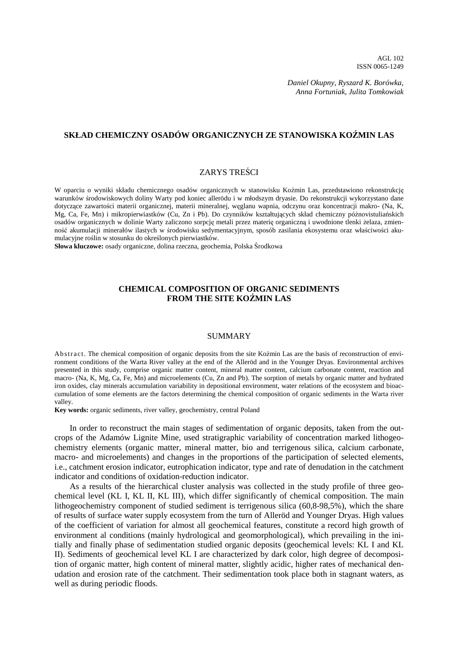*Daniel Okupny, Ryszard K. Borówka, Anna Fortuniak, Julita Tomkowiak*

## **SKŁAD CHEMICZNY OSADÓW ORGANICZNYCH ZE STANOWISKA KOŹMIN LAS**

#### ZARYS TREŚCI

W oparciu o wyniki składu chemicznego osadów organicznych w stanowisku Koźmin Las, przedstawiono rekonstrukcję warunków środowiskowych doliny Warty pod koniec allerödu i w młodszym dryasie. Do rekonstrukcji wykorzystano dane dotyczące zawartości materii organicznej, materii mineralnej, węglanu wapnia, odczynu oraz koncentracji makro- (Na, K, Mg, Ca, Fe, Mn) i mikropierwiastków (Cu, Zn i Pb). Do czynników kształtujących skład chemiczny późnovistuliańskich osadów organicznych w dolinie Warty zaliczono sorpcję metali przez materię organiczną i uwodnione tlenki żelaza, zmienność akumulacji minerałów ilastych w środowisku sedymentacyjnym, sposób zasilania ekosystemu oraz właściwości akumulacyjne roślin w stosunku do określonych pierwiastków.

**Słowa kluczowe:** osady organiczne, dolina rzeczna, geochemia, Polska Środkowa

### **CHEMICAL COMPOSITION OF ORGANIC SEDIMENTS FROM THE SITE KOŹMIN LAS**

### SUMMARY

Ab stract. The chemical composition of organic deposits from the site Koźmin Las are the basis of reconstruction of environment conditions of the Warta River valley at the end of the Alleröd and in the Younger Dryas. Environmental archives presented in this study, comprise organic matter content, mineral matter content, calcium carbonate content, reaction and macro- (Na, K, Mg, Ca, Fe, Mn) and microelements (Cu, Zn and Pb). The sorption of metals by organic matter and hydrated iron oxides, clay minerals accumulation variability in depositional environment, water relations of the ecosystem and bioaccumulation of some elements are the factors determining the chemical composition of organic sediments in the Warta river valley.

**Key words:** organic sediments, river valley, geochemistry, central Poland

In order to reconstruct the main stages of sedimentation of organic deposits, taken from the outcrops of the Adamów Lignite Mine, used stratigraphic variability of concentration marked lithogeochemistry elements (organic matter, mineral matter, bio and terrigenous silica, calcium carbonate, macro- and microelements) and changes in the proportions of the participation of selected elements, i.e., catchment erosion indicator, eutrophication indicator, type and rate of denudation in the catchment indicator and conditions of oxidation-reduction indicator.

As a results of the hierarchical cluster analysis was collected in the study profile of three geochemical level (KL I, KL II, KL III), which differ significantly of chemical composition. The main lithogeochemistry component of studied sediment is terrigenous silica (60,8-98,5%), which the share of results of surface water supply ecosystem from the turn of Alleröd and Younger Dryas. High values of the coefficient of variation for almost all geochemical features, constitute a record high growth of environment al conditions (mainly hydrological and geomorphological), which prevailing in the initially and finally phase of sedimentation studied organic deposits (geochemical levels: KL I and KL II). Sediments of geochemical level KL I are characterized by dark color, high degree of decomposition of organic matter, high content of mineral matter, slightly acidic, higher rates of mechanical denudation and erosion rate of the catchment. Their sedimentation took place both in stagnant waters, as well as during periodic floods.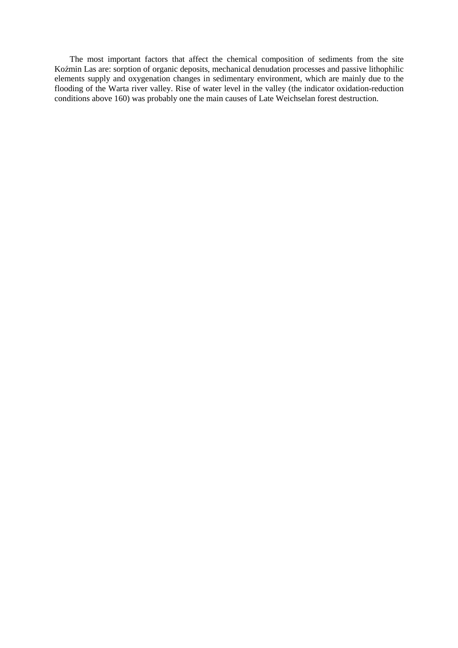The most important factors that affect the chemical composition of sediments from the site Koźmin Las are: sorption of organic deposits, mechanical denudation processes and passive lithophilic elements supply and oxygenation changes in sedimentary environment, which are mainly due to the flooding of the Warta river valley. Rise of water level in the valley (the indicator oxidation-reduction conditions above 160) was probably one the main causes of Late Weichselan forest destruction.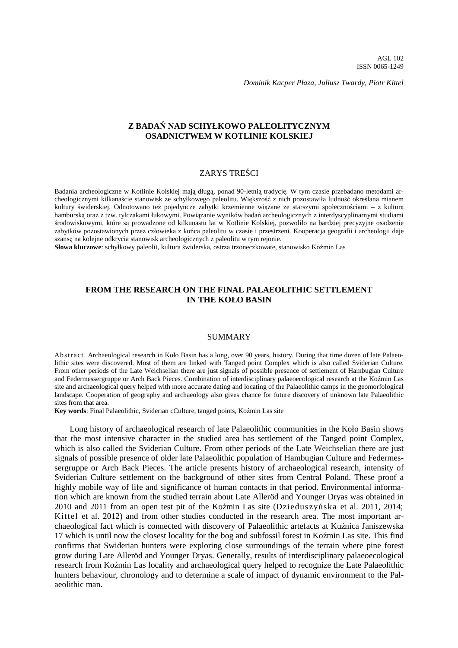*Dominik Kacper Płaza, Juliusz Twardy, Piotr Kittel*

### **Z BADAŃ NAD SCHYŁKOWO PALEOLITYCZNYM OSADNICTWEM W KOTLINIE KOLSKIEJ**

### ZARYS TREŚCI

Badania archeologiczne w Kotlinie Kolskiej mają długą, ponad 90-letnią tradycję. W tym czasie przebadano metodami archeologicznymi kilkanaście stanowisk ze schyłkowego paleolitu. Większość z nich pozostawiła ludność określana mianem kultury świderskiej. Odnotowano też pojedyncze zabytki krzemienne wiązane ze starszymi społecznościami – z kulturą hamburską oraz z tzw. tylczakami łukowymi. Powiązanie wyników badań archeologicznych z interdyscyplinarnymi studiami środowiskowymi, które są prowadzone od kilkunastu lat w Kotlinie Kolskiej, pozwoliło na bardziej precyzyjne osadzenie zabytków pozostawionych przez człowieka z końca paleolitu w czasie i przestrzeni. Kooperacja geografii i archeologii daje szansę na kolejne odkrycia stanowisk archeologicznych z paleolitu w tym rejonie.

**Słowa kluczowe**: schyłkowy paleolit, kultura świderska, ostrza trzoneczkowate, stanowisko Koźmin Las

## **FROM THE RESEARCH ON THE FINAL PALAEOLITHIC SETTLEMENT IN THE KOŁO BASIN**

#### SUMMARY

Ab stract. Archaeological research in Koło Basin has a long, over 90 years, history. During that time dozen of late Palaeolithic sites were discovered. Most of them are linked with Tanged point Complex which is also called Sviderian Culture. From other periods of the Late Weichselian there are just signals of possible presence of settlement of Hambugian Culture and Federmessergruppe or Arch Back Pieces. Combination of interdisciplinary palaeoecological research at the Koźmin Las site and archaeological query helped with more accurate dating and locating of the Palaeolithic camps in the geomorfological landscape. Cooperation of geography and archaeology also gives chance for future discovery of unknown late Palaeolithic sites from that area.

**Key words**: Final Palaeolithic, Sviderian cCulture, tanged points, Koźmin Las site

Long history of archaeological research of late Palaeolithic communities in the Koło Basin shows that the most intensive character in the studied area has settlement of the Tanged point Complex, which is also called the Sviderian Culture. From other periods of the Late Weichselian there are just signals of possible presence of older late Palaeolithic population of Hambugian Culture and Federmessergruppe or Arch Back Pieces. The article presents history of archaeological research, intensity of Sviderian Culture settlement on the background of other sites from Central Poland. These proof a highly mobile way of life and significance of human contacts in that period. Environmental information which are known from the studied terrain about Late Alleröd and Younger Dryas was obtained in 2010 and 2011 from an open test pit of the Koźmin Las site (Dzieduszyńska et al. 2011, 2014; Kittel et al. 2012) and from other studies conducted in the research area. The most important archaeological fact which is connected with discovery of Palaeolithic artefacts at Kuźnica Janiszewska 17 which is until now the closest locality for the bog and subfossil forest in Koźmin Las site. This find confirms that Swiderian hunters were exploring close surroundings of the terrain where pine forest grow during Late Alleröd and Younger Dryas. Generally, results of interdisciplinary palaeoecological research from Koźmin Las locality and archaeological query helped to recognize the Late Palaeolithic hunters behaviour, chronology and to determine a scale of impact of dynamic environment to the Palaeolithic man.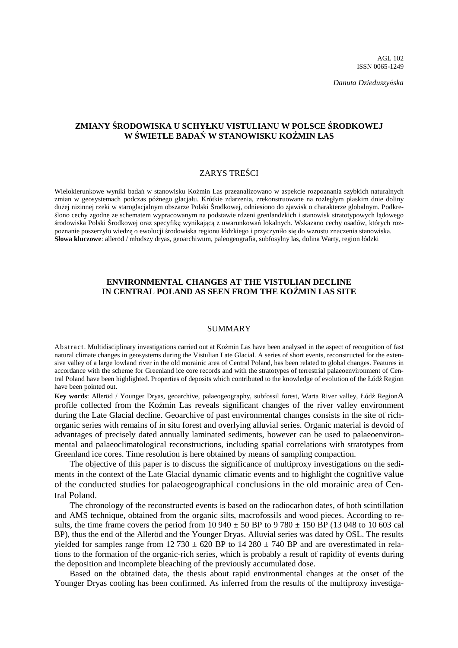*Danuta Dzieduszyńska* 

## **ZMIANY ŚRODOWISKA U SCHYŁKU VISTULIANU W POLSCE ŚRODKOWEJ W ŚWIETLE BADAŃ W STANOWISKU KOŹMIN LAS**

### ZARYS TREŚCI

Wielokierunkowe wyniki badań w stanowisku Koźmin Las przeanalizowano w aspekcie rozpoznania szybkich naturalnych zmian w geosystemach podczas późnego glacjału. Krótkie zdarzenia, zrekonstruowane na rozległym płaskim dnie doliny dużej nizinnej rzeki w staroglacjalnym obszarze Polski Środkowej, odniesiono do zjawisk o charakterze globalnym. Podkreślono cechy zgodne ze schematem wypracowanym na podstawie rdzeni grenlandzkich i stanowisk stratotypowych lądowego środowiska Polski Środkowej oraz specyfikę wynikającą z uwarunkowań lokalnych. Wskazano cechy osadów, których rozpoznanie poszerzyło wiedzę o ewolucji środowiska regionu łódzkiego i przyczyniło się do wzrostu znaczenia stanowiska. **Słowa kluczowe**: alleröd / młodszy dryas, geoarchiwum, paleogeografia, subfosylny las, dolina Warty, region łódzki

## **ENVIRONMENTAL CHANGES AT THE VISTULIAN DECLINE IN CENTRAL POLAND AS SEEN FROM THE KOŹMIN LAS SITE**

#### SUMMARY

Ab stract. Multidisciplinary investigations carried out at Koźmin Las have been analysed in the aspect of recognition of fast natural climate changes in geosystems during the Vistulian Late Glacial. A series of short events, reconstructed for the extensive valley of a large lowland river in the old morainic area of Central Poland, has been related to global changes. Features in accordance with the scheme for Greenland ice core records and with the stratotypes of terrestrial palaeoenvironment of Central Poland have been highlighted. Properties of deposits which contributed to the knowledge of evolution of the Łódź Region have been pointed out.

**Key words**: Alleröd / Younger Dryas, geoarchive, palaeogeography, subfossil forest, Warta River valley, Łódź RegionA profile collected from the Koźmin Las reveals significant changes of the river valley environment during the Late Glacial decline. Geoarchive of past environmental changes consists in the site of richorganic series with remains of in situ forest and overlying alluvial series. Organic material is devoid of advantages of precisely dated annually laminated sediments, however can be used to palaeoenvironmental and palaeoclimatological reconstructions, including spatial correlations with stratotypes from Greenland ice cores. Time resolution is here obtained by means of sampling compaction.

The objective of this paper is to discuss the significance of multiproxy investigations on the sediments in the context of the Late Glacial dynamic climatic events and to highlight the cognitive value of the conducted studies for palaeogeographical conclusions in the old morainic area of Central Poland.

The chronology of the reconstructed events is based on the radiocarbon dates, of both scintillation and AMS technique, obtained from the organic silts, macrofossils and wood pieces. According to results, the time frame covers the period from 10 940  $\pm$  50 BP to 9 780  $\pm$  150 BP (13 048 to 10 603 cal BP), thus the end of the Alleröd and the Younger Dryas. Alluvial series was dated by OSL. The results yielded for samples range from 12 730  $\pm$  620 BP to 14 280  $\pm$  740 BP and are overestimated in relations to the formation of the organic-rich series, which is probably a result of rapidity of events during the deposition and incomplete bleaching of the previously accumulated dose.

Based on the obtained data, the thesis about rapid environmental changes at the onset of the Younger Dryas cooling has been confirmed. As inferred from the results of the multiproxy investiga